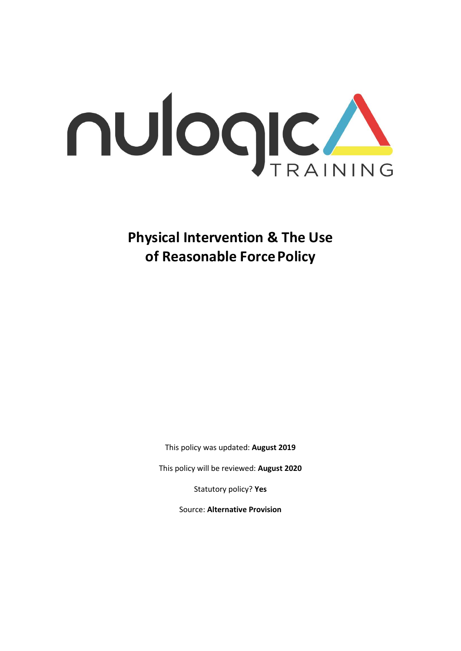

**Physical Intervention & The Use of Reasonable ForcePolicy** 

This policy was updated: **August 2019**

This policy will be reviewed: **August 2020**

Statutory policy? **Yes**

Source: **Alternative Provision**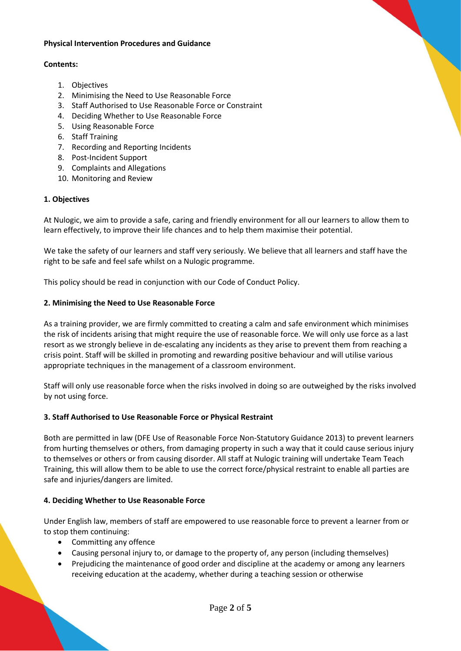#### **Physical Intervention Procedures and Guidance**

#### **Contents:**

- 1. Objectives
- 2. Minimising the Need to Use Reasonable Force
- 3. Staff Authorised to Use Reasonable Force or Constraint
- 4. Deciding Whether to Use Reasonable Force
- 5. Using Reasonable Force
- 6. Staff Training
- 7. Recording and Reporting Incidents
- 8. Post-Incident Support
- 9. Complaints and Allegations
- 10. Monitoring and Review

# **1. Objectives**

At Nulogic, we aim to provide a safe, caring and friendly environment for all our learners to allow them to learn effectively, to improve their life chances and to help them maximise their potential.

We take the safety of our learners and staff very seriously. We believe that all learners and staff have the right to be safe and feel safe whilst on a Nulogic programme.

This policy should be read in conjunction with our Code of Conduct Policy.

### **2. Minimising the Need to Use Reasonable Force**

As a training provider, we are firmly committed to creating a calm and safe environment which minimises the risk of incidents arising that might require the use of reasonable force. We will only use force as a last resort as we strongly believe in de-escalating any incidents as they arise to prevent them from reaching a crisis point. Staff will be skilled in promoting and rewarding positive behaviour and will utilise various appropriate techniques in the management of a classroom environment.

Staff will only use reasonable force when the risks involved in doing so are outweighed by the risks involved by not using force.

### **3. Staff Authorised to Use Reasonable Force or Physical Restraint**

Both are permitted in law (DFE Use of Reasonable Force Non-Statutory Guidance 2013) to prevent learners from hurting themselves or others, from damaging property in such a way that it could cause serious injury to themselves or others or from causing disorder. All staff at Nulogic training will undertake Team Teach Training, this will allow them to be able to use the correct force/physical restraint to enable all parties are safe and injuries/dangers are limited.

### **4. Deciding Whether to Use Reasonable Force**

Under English law, members of staff are empowered to use reasonable force to prevent a learner from or to stop them continuing:

- Committing any offence
- Causing personal injury to, or damage to the property of, any person (including themselves)
- Prejudicing the maintenance of good order and discipline at the academy or among any learners receiving education at the academy, whether during a teaching session or otherwise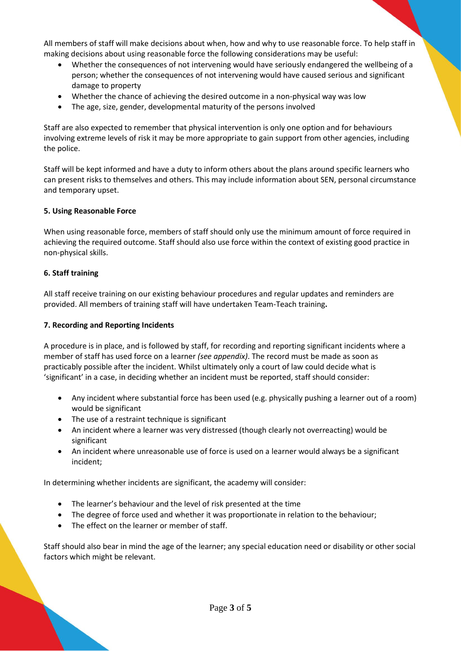All members of staff will make decisions about when, how and why to use reasonable force. To help staff in making decisions about using reasonable force the following considerations may be useful:

- Whether the consequences of not intervening would have seriously endangered the wellbeing of a person; whether the consequences of not intervening would have caused serious and significant damage to property
- Whether the chance of achieving the desired outcome in a non-physical way was low
- The age, size, gender, developmental maturity of the persons involved

Staff are also expected to remember that physical intervention is only one option and for behaviours involving extreme levels of risk it may be more appropriate to gain support from other agencies, including the police.

Staff will be kept informed and have a duty to inform others about the plans around specific learners who can present risks to themselves and others. This may include information about SEN, personal circumstance and temporary upset.

### **5. Using Reasonable Force**

When using reasonable force, members of staff should only use the minimum amount of force required in achieving the required outcome. Staff should also use force within the context of existing good practice in non-physical skills.

#### **6. Staff training**

All staff receive training on our existing behaviour procedures and regular updates and reminders are provided. All members of training staff will have undertaken Team-Teach training**.** 

#### **7. Recording and Reporting Incidents**

A procedure is in place, and is followed by staff, for recording and reporting significant incidents where a member of staff has used force on a learner *(see appendix)*. The record must be made as soon as practicably possible after the incident. Whilst ultimately only a court of law could decide what is 'significant' in a case, in deciding whether an incident must be reported, staff should consider:

- Any incident where substantial force has been used (e.g. physically pushing a learner out of a room) would be significant
- The use of a restraint technique is significant
- An incident where a learner was very distressed (though clearly not overreacting) would be significant
- An incident where unreasonable use of force is used on a learner would always be a significant incident;

In determining whether incidents are significant, the academy will consider:

- The learner's behaviour and the level of risk presented at the time
- The degree of force used and whether it was proportionate in relation to the behaviour;
- The effect on the learner or member of staff.

Staff should also bear in mind the age of the learner; any special education need or disability or other social factors which might be relevant.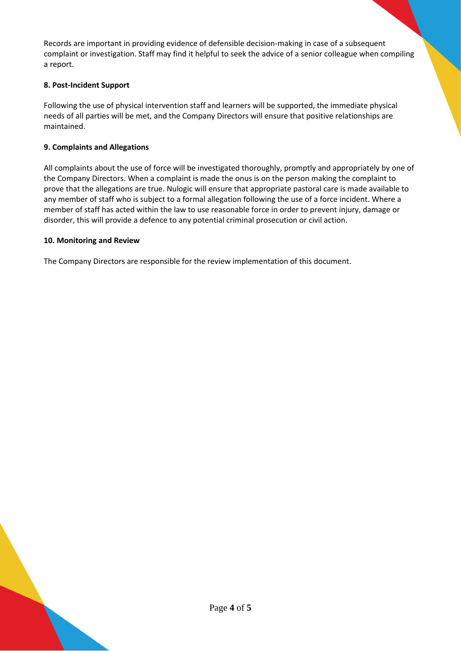Records are important in providing evidence of defensible decision-making in case of a subsequent complaint or investigation. Staff may find it helpful to seek the advice of a senior colleague when compiling a report.

# **8. Post-Incident Support**

Following the use of physical intervention staff and learners will be supported, the immediate physical needs of all parties will be met, and the Company Directors will ensure that positive relationships are maintained.

# **9. Complaints and Allegations**

All complaints about the use of force will be investigated thoroughly, promptly and appropriately by one of the Company Directors. When a complaint is made the onus is on the person making the complaint to prove that the allegations are true. Nulogic will ensure that appropriate pastoral care is made available to any member of staff who is subject to a formal allegation following the use of a force incident. Where a member of staff has acted within the law to use reasonable force in order to prevent injury, damage or disorder, this will provide a defence to any potential criminal prosecution or civil action.

### **10. Monitoring and Review**

The Company Directors are responsible for the review implementation of this document.